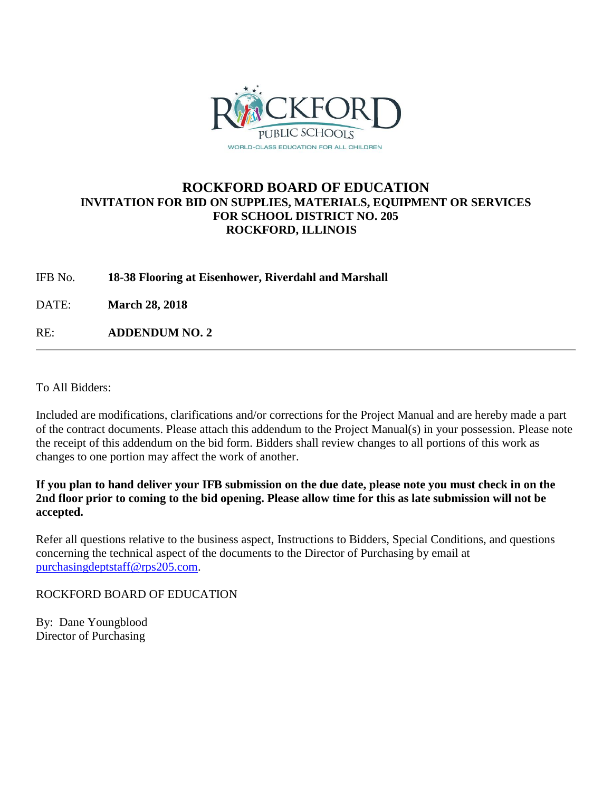

## **ROCKFORD BOARD OF EDUCATION INVITATION FOR BID ON SUPPLIES, MATERIALS, EQUIPMENT OR SERVICES FOR SCHOOL DISTRICT NO. 205 ROCKFORD, ILLINOIS**

IFB No. **18-38 Flooring at Eisenhower, Riverdahl and Marshall**

DATE: **March 28, 2018**

RE: **ADDENDUM NO. 2**

To All Bidders:

Included are modifications, clarifications and/or corrections for the Project Manual and are hereby made a part of the contract documents. Please attach this addendum to the Project Manual(s) in your possession. Please note the receipt of this addendum on the bid form. Bidders shall review changes to all portions of this work as changes to one portion may affect the work of another.

**If you plan to hand deliver your IFB submission on the due date, please note you must check in on the 2nd floor prior to coming to the bid opening. Please allow time for this as late submission will not be accepted.**

Refer all questions relative to the business aspect, Instructions to Bidders, Special Conditions, and questions concerning the technical aspect of the documents to the Director of Purchasing by email at [purchasingdeptstaff@rps205.com.](mailto:purchasingdeptstaff@rps205.com)

ROCKFORD BOARD OF EDUCATION

By: Dane Youngblood Director of Purchasing